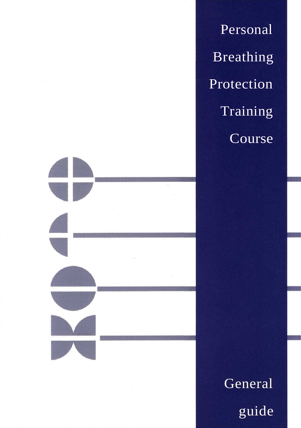Personal Breathing Protection Training Course



General guide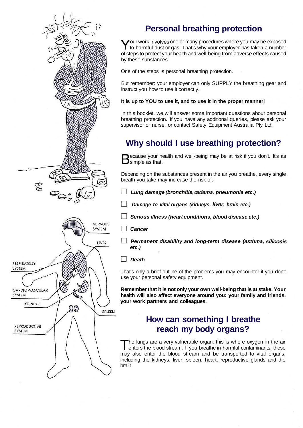

# **Personal breathing protection**

Your work involves one or many procedures where you may be exposed<br>to harmful dust or gas. That's why your employer has taken a number our work involves one or many procedures where you may be exposed of steps to protect your health and well-being from adverse effects caused by these substances.

One of the steps is personal breathing protection.

But remember: your employer can only SUPPLY the breathing gear and instruct you how to use it correctly.

#### **It is up to YOU to use it, and to use it in the proper manner!**

In this booklet, we will answer some important questions about personal breathing protection. If you have any additional queries, please ask your supervisor or nurse, or contact Safety Equipment Australia Pty Ltd.

# **Why should I use breathing protection?**

Because your hest state. ecause your health and well-being may be at risk if you don't. It's as

Depending on the substances present in the air you breathe, every single breath you take may increase the risk of:

- **D Lung damage (bronchitis, oedema, pneumonia etc.)**
- **D Damage to vital organs (kidneys, liver, brain etc.)**
- **D Serious illness (heart conditions, blood disease etc.)**
- **D Cancer**
- **D Permanent disability and long-term disease (asthma, silicosis etc.)**
- **D Death**

That's only a brief outline of the problems you may encounter if you don't use your personal safety equipment.

**Remember that it is not only your own well-being that is at stake. Your health will also affect everyone around you: your family and friends, your work partners and colleagues.**

# **How can something I breathe reach my body organs?**

T he lungs are a very vulnerable organ: this is where oxygen in the air enters the blood stream. If you breathe in harmful contaminants, these may also enter the blood stream and be transported to vital organs, including the kidneys, liver, spleen, heart, reproductive glands and the brain.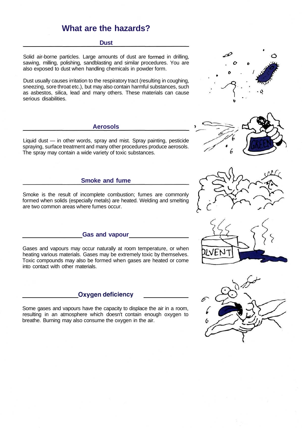## **What are the hazards?**

#### **Dust**

Solid air-borne particles. Large amounts of dust are formed in drilling, sawing, milling, polishing, sandblasting and similar procedures. You are also exposed to dust when handling chemicals in powder form.

Dust usually causes irritation to the respiratory tract (resulting in coughing, sneezing, sore throat etc.), but may also contain harmful substances, such as asbestos, silica, lead and many others. These materials can cause serious disabilities.

#### **Aerosols**

Liquid dust — in other words, spray and mist. Spray painting, pesticide spraying, surface treatment and many other procedures produce aerosols. The spray may contain a wide variety of toxic substances.

#### **Smoke and fume**

Smoke is the result of incomplete combustion; fumes are commonly formed when solids (especially metals) are heated. Welding and smelting are two common areas where fumes occur.

#### **Gas and vapour**

Gases and vapours may occur naturally at room temperature, or when heating various materials. Gases may be extremely toxic by themselves. Toxic compounds may also be formed when gases are heated or come into contact with other materials.

#### **Oxygen deficiency**

Some gases and vapours have the capacity to displace the air in a room, resulting in an atmosphere which doesn't contain enough oxygen to breathe. Burning may also consume the oxygen in the air.









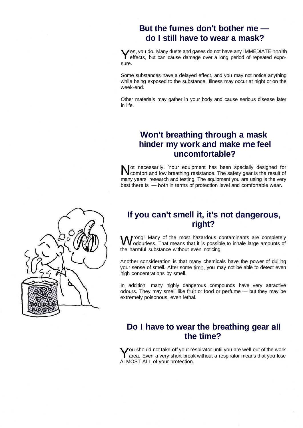## **But the fumes don't bother me do I still have to wear a mask?**

Yes, you do. Many dusts and gases do not have any IMMEDIATE health<br>
effects, but can cause damage over a long period of repeated expoes, you do. Many dusts and gases do not have any IMMEDIATE health sure.

Some substances have a delayed effect, and you may not notice anything while being exposed to the substance. Illness may occur at night or on the week-end.

Other materials may gather in your body and cause serious disease later in life.

## **Won't breathing through a mask hinder my work and make me feel uncomfortable?**

Not necessarily. Your equipment has been specially designed for comfort and low breathing resistance. The safety gear is the result of comfort and low breathing resistance. The safety gear is the result of many years' research and testing. The equipment you are using is the very best there is — both in terms of protection level and comfortable wear.

## **If you can't smell it, it's not dangerous, right?**

Frong! Many of the most hazardous contaminants are completely odourless. That means that it is possible to inhale large amounts of the harmful substance without even noticing.

Another consideration is that many chemicals have the power of dulling your sense of smell. After some time, you may not be able to detect even high concentrations by smell.

In addition, many highly dangerous compounds have very attractive odours. They may smell like fruit or food or perfume — but they may be extremely poisonous, even lethal.

## **Do I have to wear the breathing gear all the time?**

You should not take off your respirator until you are well out of the work<br>Y area. Even a very short break without a respirator means that you lose area. Even a very short break without a respirator means that you lose ALMOST ALL of your protection.

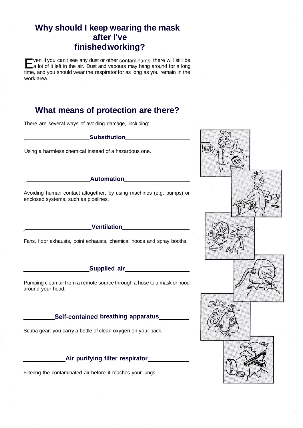# **Why should I keep wearing the mask after I've finished working?**

E ven if you can't see any dust or other contaminants, there will still be a lot of it left in the air. Dust and vapours may hang around for a long time, and you should wear the respirator for as long as you remain in the work area.

# **What means of protection are there?**

There are several ways of avoiding damage, including:

**Substitution** 

Using a harmless chemical instead of a hazardous one.

#### **Automation**

Avoiding human contact altogether, by using machines (e.g. pumps) or enclosed systems, such as pipelines.

#### **Ventilation**

Fans, floor exhausts, point exhausts, chemical hoods and spray booths.

#### **Supplied air**

Pumping clean air from a remote source through a hose to a mask or hood around your head.

#### **Self-contained breathing apparatus**

Scuba gear: you carry a bottle of clean oxygen on your back.

#### **Air purifying filter respirator**

Filtering the contaminated air before it reaches your lungs.

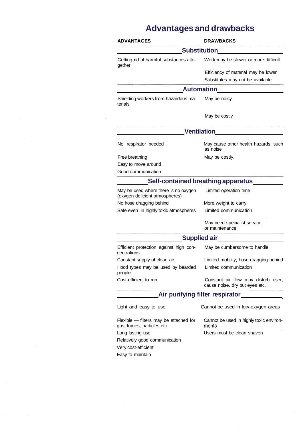# **Advantages and drawbacks**

| <b>ADVANTAGES</b>                                                      | <b>DRAWBACKS</b>                                                                                                                                                                                                                   |
|------------------------------------------------------------------------|------------------------------------------------------------------------------------------------------------------------------------------------------------------------------------------------------------------------------------|
|                                                                        | <b>Substitution</b>                                                                                                                                                                                                                |
| Getting rid of harmful substances alto-<br>gether                      | Work may be slower or more difficult                                                                                                                                                                                               |
|                                                                        | Efficiency of material may be lower                                                                                                                                                                                                |
|                                                                        | Substitutes may not be available                                                                                                                                                                                                   |
|                                                                        | <b>Automation</b>                                                                                                                                                                                                                  |
| Shielding workers from hazardous ma-<br>terials                        | May be noisy                                                                                                                                                                                                                       |
|                                                                        | May be costly                                                                                                                                                                                                                      |
|                                                                        | <b>Ventilation Contract Contract Contract Contract Contract Contract Contract Contract Contract Contract Contract Contract Contract Contract Contract Contract Contract Contract Contract Contract Contract Contract Contract </b> |
| No respirator needed                                                   | May cause other health hazards, such<br>as noise                                                                                                                                                                                   |
| Free breathing                                                         | May be costly.                                                                                                                                                                                                                     |
| Easy to move around                                                    |                                                                                                                                                                                                                                    |
| Good communication                                                     |                                                                                                                                                                                                                                    |
|                                                                        | <b>Self-contained breathing apparatus</b>                                                                                                                                                                                          |
| May be used where there is no oxygen<br>(oxygen deficient atmospheres) | Limited operation time                                                                                                                                                                                                             |
| No hose dragging behind                                                | More weight to carry                                                                                                                                                                                                               |
| Safe even in highly toxic atmospheres                                  | Limited communication                                                                                                                                                                                                              |
|                                                                        | May need specialist service<br>or maintenance                                                                                                                                                                                      |
|                                                                        | Supplied air<br><u>Supplied air</u>                                                                                                                                                                                                |
| Efficient protection against high con-<br>centrations                  | May be cumbersome to handle                                                                                                                                                                                                        |
| Constant supply of clean air                                           | Limited mobility; hose dragging behind                                                                                                                                                                                             |
| Hood types may be used by bearded<br>people                            | Limited communication                                                                                                                                                                                                              |
| Cost-efficient to run                                                  | Constant air flow may disturb user,<br>cause noise, dry out eyes etc.                                                                                                                                                              |
|                                                                        | Air purifying filter respirator                                                                                                                                                                                                    |
| Light and easy to use                                                  | Cannot be used in low-oxygen areas                                                                                                                                                                                                 |
| Flexible - filters may be attached for<br>gas, fumes, particles etc.   | Cannot be used in highly toxic environ-<br>ments                                                                                                                                                                                   |
| Long lasting use                                                       | Users must be clean shaven                                                                                                                                                                                                         |
| Relatively good communication                                          |                                                                                                                                                                                                                                    |
| Very cost-efficient                                                    |                                                                                                                                                                                                                                    |
| Easy to maintain                                                       |                                                                                                                                                                                                                                    |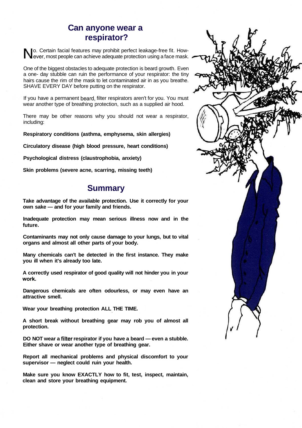## **Can anyone wear a respirator?**

No. Certain facial features may prohibit perfect leakage-free fit. How-<br>Never, most people can achieve adequate protection using a face mask. o. Certain facial features may prohibit perfect leakage-free fit. How-

One of the biggest obstacles to adequate protection is beard growth. Even a one- day stubble can ruin the performance of your respirator: the tiny hairs cause the rim of the mask to let contaminated air in as you breathe. SHAVE EVERY DAY before putting on the respirator.

If you have a permanent beard, filter respirators aren't for you. You must wear another type of breathing protection, such as a supplied air hood.

There may be other reasons why you should not wear a respirator, including:

**Respiratory conditions (asthma, emphysema, skin allergies)**

**Circulatory disease (high blood pressure, heart conditions)**

**Psychological distress (claustrophobia, anxiety)**

**Skin problems (severe acne, scarring, missing teeth)**

## **Summary**

**Take advantage of the available protection. Use it correctly for your own sake — and for your family and friends.**

**Inadequate protection may mean serious illness now and in the future.**

**Contaminants may not only cause damage to your lungs, but to vital organs and almost all other parts of your body.**

**Many chemicals can't be detected in the first instance. They make you ill when it's already too late.**

**A correctly used respirator of good quality will not hinder you in your work.**

**Dangerous chemicals are often odourless, or may even have an attractive smell.**

**Wear your breathing protection ALL THE TIME.**

**A short break without breathing gear may rob you of almost all protection.**

**DO NOT wear a filter respirator if you have a beard — even a stubble. Either shave or wear another type of breathing gear.**

**Report all mechanical problems and physical discomfort to your supervisor — neglect could ruin your health.**

**Make sure you know EXACTLY how to fit, test, inspect, maintain, clean and store your breathing equipment.**